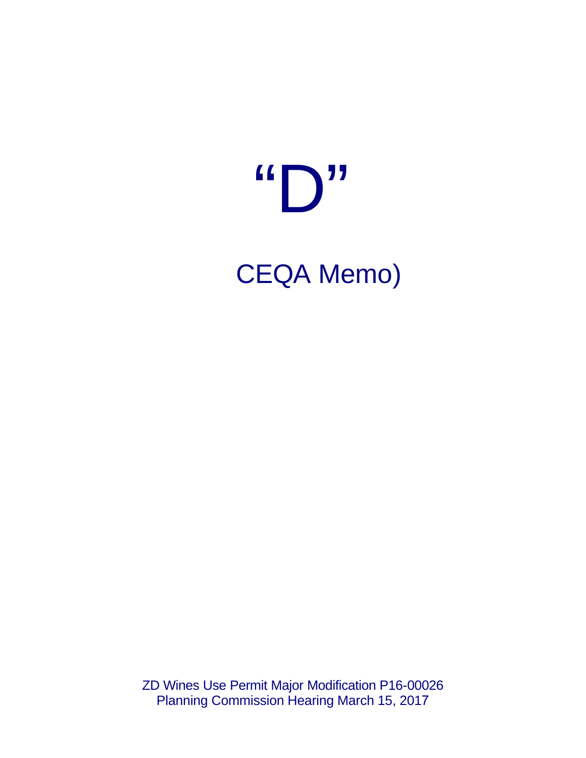## $\mathbf{G}$  $\sqrt{11}$ **CEQA Memo)**

ZD Wines Use Permit Major Modification P16-00026 Planning Commission Hearing March 15, 2017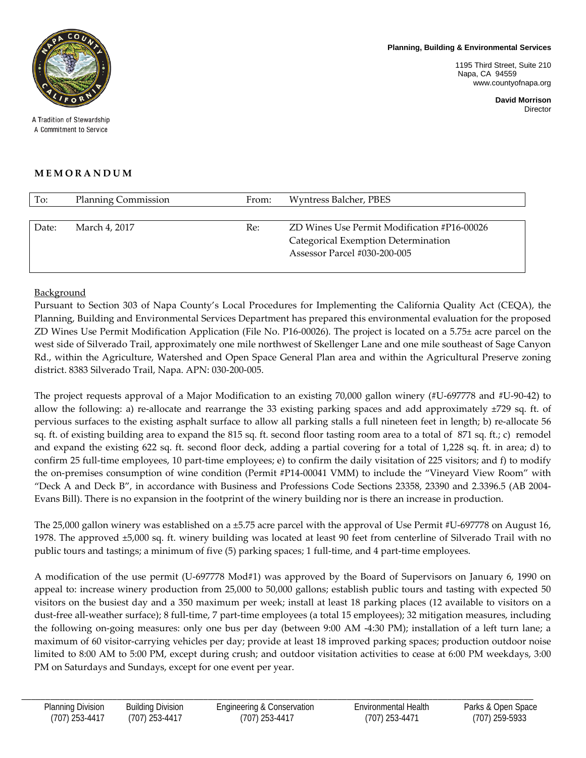**Planning, Building & Environmental Services**

1195 Third Street, Suite 210 Napa, CA 94559 www.countyofnapa.org

> **David Morrison** Director



A Tradition of Stewardship A Commitment to Service

## **MEMORANDUM**

| To:   | <b>Planning Commission</b> | From: | Wyntress Balcher, PBES                      |
|-------|----------------------------|-------|---------------------------------------------|
|       |                            |       |                                             |
| Date: | March 4, 2017              | Re:   | ZD Wines Use Permit Modification #P16-00026 |
|       |                            |       | Categorical Exemption Determination         |
|       |                            |       | Assessor Parcel #030-200-005                |
|       |                            |       |                                             |

## Background

Pursuant to Section 303 of Napa County's Local Procedures for Implementing the California Quality Act (CEQA), the Planning, Building and Environmental Services Department has prepared this environmental evaluation for the proposed ZD Wines Use Permit Modification Application (File No. P16-00026). The project is located on a 5.75± acre parcel on the west side of Silverado Trail, approximately one mile northwest of Skellenger Lane and one mile southeast of Sage Canyon Rd., within the Agriculture, Watershed and Open Space General Plan area and within the Agricultural Preserve zoning district. 8383 Silverado Trail, Napa. APN: 030-200-005.

The project requests approval of a Major Modification to an existing 70,000 gallon winery (#U-697778 and #U-90-42) to allow the following: a) re-allocate and rearrange the 33 existing parking spaces and add approximately ±729 sq. ft. of pervious surfaces to the existing asphalt surface to allow all parking stalls a full nineteen feet in length; b) re-allocate 56 sq. ft. of existing building area to expand the 815 sq. ft. second floor tasting room area to a total of 871 sq. ft.; c) remodel and expand the existing 622 sq. ft. second floor deck, adding a partial covering for a total of 1,228 sq. ft. in area; d) to confirm 25 full-time employees, 10 part-time employees; e) to confirm the daily visitation of 225 visitors; and f) to modify the on-premises consumption of wine condition (Permit #P14-00041 VMM) to include the "Vineyard View Room" with "Deck A and Deck B", in accordance with Business and Professions Code Sections 23358, 23390 and 2.3396.5 (AB 2004- Evans Bill). There is no expansion in the footprint of the winery building nor is there an increase in production.

The 25,000 gallon winery was established on a ±5.75 acre parcel with the approval of Use Permit #U-697778 on August 16, 1978. The approved ±5,000 sq. ft. winery building was located at least 90 feet from centerline of Silverado Trail with no public tours and tastings; a minimum of five (5) parking spaces; 1 full-time, and 4 part-time employees.

A modification of the use permit (U-697778 Mod#1) was approved by the Board of Supervisors on January 6, 1990 on appeal to: increase winery production from 25,000 to 50,000 gallons; establish public tours and tasting with expected 50 visitors on the busiest day and a 350 maximum per week; install at least 18 parking places (12 available to visitors on a dust-free all-weather surface); 8 full-time, 7 part-time employees (a total 15 employees); 32 mitigation measures, including the following on-going measures: only one bus per day (between 9:00 AM -4:30 PM); installation of a left turn lane; a maximum of 60 visitor-carrying vehicles per day; provide at least 18 improved parking spaces; production outdoor noise limited to 8:00 AM to 5:00 PM, except during crush; and outdoor visitation activities to cease at 6:00 PM weekdays, 3:00 PM on Saturdays and Sundays, except for one event per year.